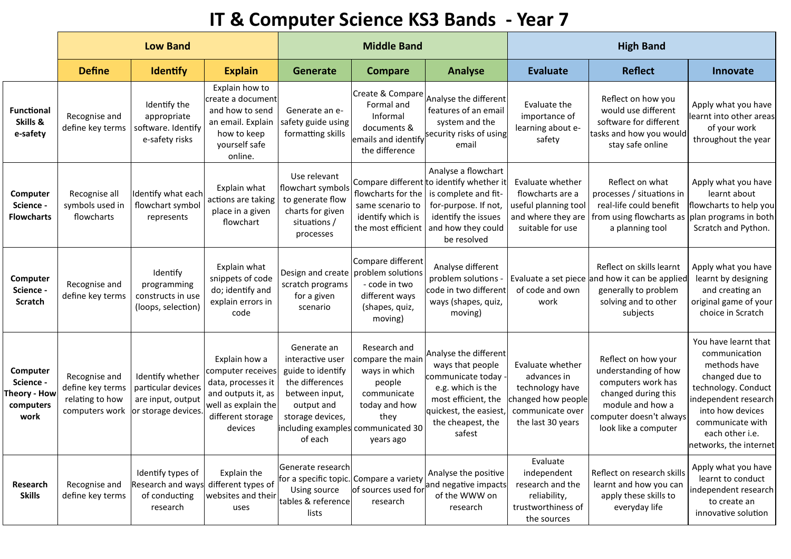## **IT & Computer Science KS3 Bands - Year 7**

|                                                            | <b>Low Band</b>                                                        |                                                                                   |                                                                                                                                       |                                                                                                                                        | <b>Middle Band</b>                                                                                                                                     |                                                                                                                                                                             | <b>High Band</b>                                                                                                  |                                                                                                                                                                 |                                                                                                                                                                                                             |  |
|------------------------------------------------------------|------------------------------------------------------------------------|-----------------------------------------------------------------------------------|---------------------------------------------------------------------------------------------------------------------------------------|----------------------------------------------------------------------------------------------------------------------------------------|--------------------------------------------------------------------------------------------------------------------------------------------------------|-----------------------------------------------------------------------------------------------------------------------------------------------------------------------------|-------------------------------------------------------------------------------------------------------------------|-----------------------------------------------------------------------------------------------------------------------------------------------------------------|-------------------------------------------------------------------------------------------------------------------------------------------------------------------------------------------------------------|--|
|                                                            | <b>Define</b>                                                          | <b>Identify</b>                                                                   | <b>Explain</b>                                                                                                                        | <b>Generate</b>                                                                                                                        | <b>Compare</b>                                                                                                                                         | <b>Analyse</b>                                                                                                                                                              | <b>Evaluate</b>                                                                                                   | <b>Reflect</b>                                                                                                                                                  | Innovate                                                                                                                                                                                                    |  |
| <b>Functional</b><br>Skills &<br>e-safety                  | Recognise and<br>define key terms                                      | Identify the<br>appropriate<br>software. Identify<br>e-safety risks               | Explain how to<br>create a document<br>and how to send<br>an email. Explain<br>how to keep<br>yourself safe<br>online.                | Generate an e-<br>safety guide using<br>formatting skills                                                                              | Create & Compare<br>Formal and<br>Informal<br>documents &<br>the difference                                                                            | Analyse the different<br>features of an email<br>system and the<br>emails and identify security risks of using<br>email                                                     | Evaluate the<br>importance of<br>learning about e-<br>safety                                                      | Reflect on how you<br>would use different<br>software for different<br>tasks and how you would<br>stay safe online                                              | Apply what you have<br>learnt into other areas<br>of your work<br>throughout the year                                                                                                                       |  |
| Computer<br>Science -<br><b>Flowcharts</b>                 | Recognise all<br>symbols used in<br>flowcharts                         | dentify what each<br>flowchart symbol<br>represents                               | Explain what<br>actions are taking<br>place in a given<br>flowchart                                                                   | Use relevant<br>flowchart symbols<br>to generate flow<br>charts for given<br>situations /<br>processes                                 | flowcharts for the<br>same scenario to<br>identify which is<br>the most efficient                                                                      | Analyse a flowchart<br>Compare different to identify whether it<br>is complete and fit-<br>for-purpose. If not,<br>identify the issues<br>and how they could<br>be resolved | Evaluate whether<br>flowcharts are a<br>useful planning tool<br>and where they are<br>suitable for use            | Reflect on what<br>processes / situations in<br>real-life could benefit<br>from using flowcharts as<br>a planning tool                                          | Apply what you have<br>learnt about<br>flowcharts to help you<br>plan programs in both<br>Scratch and Python.                                                                                               |  |
| Computer<br>Science -<br>Scratch                           | Recognise and<br>define key terms                                      | Identify<br>programming<br>constructs in use<br>(loops, selection)                | Explain what<br>snippets of code<br>do; identify and<br>explain errors in<br>code                                                     | Design and create<br>scratch programs<br>for a given<br>scenario                                                                       | Compare different<br>problem solutions<br>- code in two<br>different ways<br>(shapes, quiz,<br>moving)                                                 | Analyse different<br>problem solutions<br>code in two different<br>ways (shapes, quiz,<br>moving)                                                                           | of code and own<br>work                                                                                           | Reflect on skills learnt<br>Evaluate a set piece and how it can be applied<br>generally to problem<br>solving and to other<br>subjects                          | Apply what you have<br>learnt by designing<br>and creating an<br>original game of your<br>choice in Scratch                                                                                                 |  |
| Computer<br>Science -<br>Theory - How<br>computers<br>work | Recognise and<br>define key terms<br>relating to how<br>computers work | Identify whether<br>particular devices<br>are input, output<br>or storage devices | Explain how a<br>computer receives<br>data, processes it<br>and outputs it, as<br>well as explain the<br>different storage<br>devices | Generate an<br>interactive user<br>guide to identify<br>the differences<br>between input,<br>output and<br>storage devices,<br>of each | Research and<br>compare the main<br>ways in which<br>people<br>communicate<br>today and how<br>they<br>including examples communicated 30<br>years ago | Analyse the different<br>ways that people<br>communicate today -<br>e.g. which is the<br>most efficient, the<br>quickest, the easiest,<br>the cheapest, the<br>safest       | Evaluate whether<br>advances in<br>technology have<br>changed how people<br>communicate over<br>the last 30 years | Reflect on how your<br>understanding of how<br>computers work has<br>changed during this<br>module and how a<br>computer doesn't always<br>look like a computer | You have learnt that<br>communication<br>methods have<br>changed due to<br>technology. Conduct<br>independent research<br>into how devices<br>communicate with<br>each other i.e.<br>networks, the internet |  |
| Research<br><b>Skills</b>                                  | Recognise and<br>define key terms                                      | Identify types of<br>Research and ways<br>of conducting<br>research               | Explain the<br>different types of<br>websites and their<br>uses                                                                       | Generate research<br>for a specific topic.<br>Using source<br>tables & reference<br>lists                                              | Compare a variety<br>of sources used for<br>research                                                                                                   | Analyse the positive<br>and negative impacts<br>of the WWW on<br>research                                                                                                   | Evaluate<br>independent<br>research and the<br>reliability,<br>trustworthiness of<br>the sources                  | Reflect on research skills<br>learnt and how you can<br>apply these skills to<br>everyday life                                                                  | Apply what you have<br>learnt to conduct<br>independent research<br>to create an<br>innovative solution                                                                                                     |  |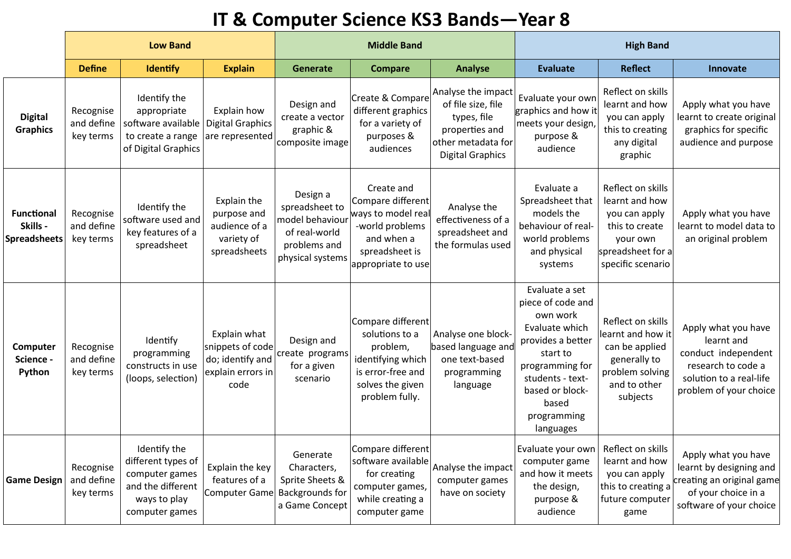## **IT & Computer Science KS3 Bands—Year 8**

|                                                      | <b>Low Band</b>                      |                                                                                                             |                                                                                   |                                                                                                    | <b>Middle Band</b>                                                                                                              |                                                                                                                            | <b>High Band</b>                                                                                                                                                                                  |                                                                                                                              |                                                                                                                                     |  |
|------------------------------------------------------|--------------------------------------|-------------------------------------------------------------------------------------------------------------|-----------------------------------------------------------------------------------|----------------------------------------------------------------------------------------------------|---------------------------------------------------------------------------------------------------------------------------------|----------------------------------------------------------------------------------------------------------------------------|---------------------------------------------------------------------------------------------------------------------------------------------------------------------------------------------------|------------------------------------------------------------------------------------------------------------------------------|-------------------------------------------------------------------------------------------------------------------------------------|--|
|                                                      | <b>Define</b>                        | Identify                                                                                                    | <b>Explain</b>                                                                    | Generate                                                                                           | <b>Compare</b>                                                                                                                  | <b>Analyse</b>                                                                                                             | <b>Evaluate</b>                                                                                                                                                                                   | <b>Reflect</b>                                                                                                               | Innovate                                                                                                                            |  |
| <b>Digital</b><br><b>Graphics</b>                    | Recognise<br>and define<br>key terms | Identify the<br>appropriate<br>software available<br>to create a range<br>of Digital Graphics               | Explain how<br><b>Digital Graphics</b><br>are represented                         | Design and<br>create a vector<br>graphic &<br>composite image                                      | Create & Compare<br>different graphics<br>for a variety of<br>purposes &<br>audiences                                           | Analyse the impact<br>of file size, file<br>types, file<br>properties and<br>other metadata for<br><b>Digital Graphics</b> | Evaluate your own<br>graphics and how it<br>meets your design,<br>purpose &<br>audience                                                                                                           | Reflect on skills<br>learnt and how<br>you can apply<br>this to creating<br>any digital<br>graphic                           | Apply what you have<br>learnt to create original<br>graphics for specific<br>audience and purpose                                   |  |
| <b>Functional</b><br>Skills -<br><b>Spreadsheets</b> | Recognise<br>and define<br>key terms | Identify the<br>software used and<br>key features of a<br>spreadsheet                                       | Explain the<br>purpose and<br>audience of a<br>variety of<br>spreadsheets         | Design a<br>spreadsheet to<br>model behaviour<br>of real-world<br>problems and<br>physical systems | Create and<br>Compare different<br>ways to model real<br>-world problems<br>and when a<br>spreadsheet is<br>appropriate to use  | Analyse the<br>effectiveness of a<br>spreadsheet and<br>the formulas used                                                  | Evaluate a<br>Spreadsheet that<br>models the<br>behaviour of real-<br>world problems<br>and physical<br>systems                                                                                   | Reflect on skills<br>learnt and how<br>you can apply<br>this to create<br>your own<br>spreadsheet for a<br>specific scenario | Apply what you have<br>learnt to model data to<br>an original problem                                                               |  |
| Computer<br>Science -<br>Python                      | Recognise<br>and define<br>key terms | Identify<br>programming<br>constructs in use<br>(loops, selection)                                          | Explain what<br>snippets of code<br>do; identify and<br>explain errors in<br>code | Design and<br>create programs<br>for a given<br>scenario                                           | Compare different<br>solutions to a<br>problem,<br>identifying which<br>is error-free and<br>solves the given<br>problem fully. | Analyse one block-<br>based language and<br>one text-based<br>programming<br>language                                      | Evaluate a set<br>piece of code and<br>own work<br>Evaluate which<br>provides a better<br>start to<br>programming for<br>students - text-<br>based or block-<br>based<br>programming<br>languages | Reflect on skills<br>earnt and how it<br>can be applied<br>generally to<br>problem solving<br>and to other<br>subjects       | Apply what you have<br>learnt and<br>conduct independent<br>research to code a<br>solution to a real-life<br>problem of your choice |  |
| <b>Game Design</b>                                   | Recognise<br>and define<br>key terms | Identify the<br>different types of<br>computer games<br>and the different<br>ways to play<br>computer games | Explain the key<br>features of a<br>Computer Game                                 | Generate<br>Characters,<br>Sprite Sheets &<br><b>Backgrounds for</b><br>a Game Concept             | Compare different<br>software available<br>for creating<br>computer games,<br>while creating a<br>computer game                 | Analyse the impact<br>computer games<br>have on society                                                                    | Evaluate your own<br>computer game<br>and how it meets<br>the design,<br>purpose &<br>audience                                                                                                    | Reflect on skills<br>learnt and how<br>you can apply<br>this to creating a<br>future computer<br>game                        | Apply what you have<br>learnt by designing and<br>creating an original game<br>of your choice in a<br>software of your choice       |  |